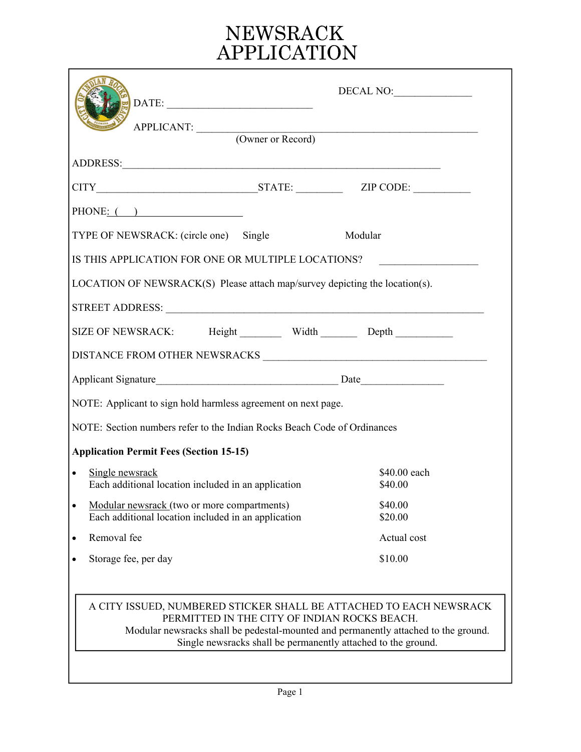# NEWSRACK<br>APPLICATION

| DATE:<br>APPLICANT: (Owner or Record)                                                                                                                                                                                                                                      | DECAL NO:               |  |  |  |
|----------------------------------------------------------------------------------------------------------------------------------------------------------------------------------------------------------------------------------------------------------------------------|-------------------------|--|--|--|
|                                                                                                                                                                                                                                                                            |                         |  |  |  |
| ADDRESS: New York Contract the Contract of the Contract of the Contract of the Contract of the Contract of the Contract of the Contract of the Contract of the Contract of the Contract of the Contract of the Contract of the                                             |                         |  |  |  |
|                                                                                                                                                                                                                                                                            |                         |  |  |  |
| PHONE: $($                                                                                                                                                                                                                                                                 |                         |  |  |  |
| TYPE OF NEWSRACK: (circle one) Single                                                                                                                                                                                                                                      | Modular                 |  |  |  |
| IS THIS APPLICATION FOR ONE OR MULTIPLE LOCATIONS?                                                                                                                                                                                                                         |                         |  |  |  |
| LOCATION OF NEWSRACK(S) Please attach map/survey depicting the location(s).                                                                                                                                                                                                |                         |  |  |  |
|                                                                                                                                                                                                                                                                            |                         |  |  |  |
|                                                                                                                                                                                                                                                                            |                         |  |  |  |
| SIZE OF NEWSRACK: Height Width Depth Depth                                                                                                                                                                                                                                 |                         |  |  |  |
|                                                                                                                                                                                                                                                                            |                         |  |  |  |
|                                                                                                                                                                                                                                                                            |                         |  |  |  |
| NOTE: Applicant to sign hold harmless agreement on next page.                                                                                                                                                                                                              |                         |  |  |  |
| NOTE: Section numbers refer to the Indian Rocks Beach Code of Ordinances                                                                                                                                                                                                   |                         |  |  |  |
| <b>Application Permit Fees (Section 15-15)</b>                                                                                                                                                                                                                             |                         |  |  |  |
| Single newsrack<br>$\bullet$<br>Each additional location included in an application                                                                                                                                                                                        | \$40.00 each<br>\$40.00 |  |  |  |
| Modular newsrack (two or more compartments)<br>Each additional location included in an application                                                                                                                                                                         | \$40.00<br>\$20.00      |  |  |  |
| Removal fee<br>$\bullet$                                                                                                                                                                                                                                                   | Actual cost             |  |  |  |
| Storage fee, per day                                                                                                                                                                                                                                                       | \$10.00                 |  |  |  |
|                                                                                                                                                                                                                                                                            |                         |  |  |  |
| A CITY ISSUED, NUMBERED STICKER SHALL BE ATTACHED TO EACH NEWSRACK<br>PERMITTED IN THE CITY OF INDIAN ROCKS BEACH.<br>Modular newsracks shall be pedestal-mounted and permanently attached to the ground.<br>Single newsracks shall be permanently attached to the ground. |                         |  |  |  |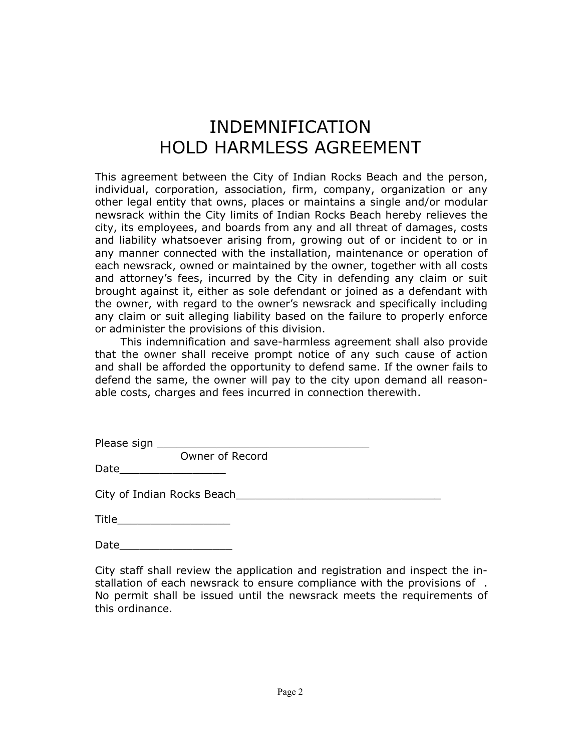# INDEMNIFICATION HOLD HARMLESS AGREEMENT

This agreement between the City of Indian Rocks Beach and the person, individual, corporation, association, firm, company, organization or any other legal entity that owns, places or maintains a single and/or modular newsrack within the City limits of Indian Rocks Beach hereby relieves the city, its employees, and boards from any and all threat of damages, costs and liability whatsoever arising from, growing out of or incident to or in any manner connected with the installation, maintenance or operation of each newsrack, owned or maintained by the owner, together with all costs and attorney's fees, incurred by the City in defending any claim or suit brought against it, either as sole defendant or joined as a defendant with the owner, with regard to the owner's newsrack and specifically including any claim or suit alleging liability based on the failure to properly enforce or administer the provisions of this division.

 This indemnification and save-harmless agreement shall also provide that the owner shall receive prompt notice of any such cause of action and shall be afforded the opportunity to defend same. If the owner fails to defend the same, the owner will pay to the city upon demand all reasonable costs, charges and fees incurred in connection therewith.

| Please sign |                 |  |
|-------------|-----------------|--|
|             | Owner of Record |  |

Date\_\_\_\_\_\_\_\_\_\_\_\_\_\_\_\_

City of Indian Rocks Beach **Exercise 2018** 

Date\_\_\_\_\_\_\_\_\_\_\_\_\_\_\_\_\_

City staff shall review the application and registration and inspect the installation of each newsrack to ensure compliance with the provisions of . No permit shall be issued until the newsrack meets the requirements of this ordinance.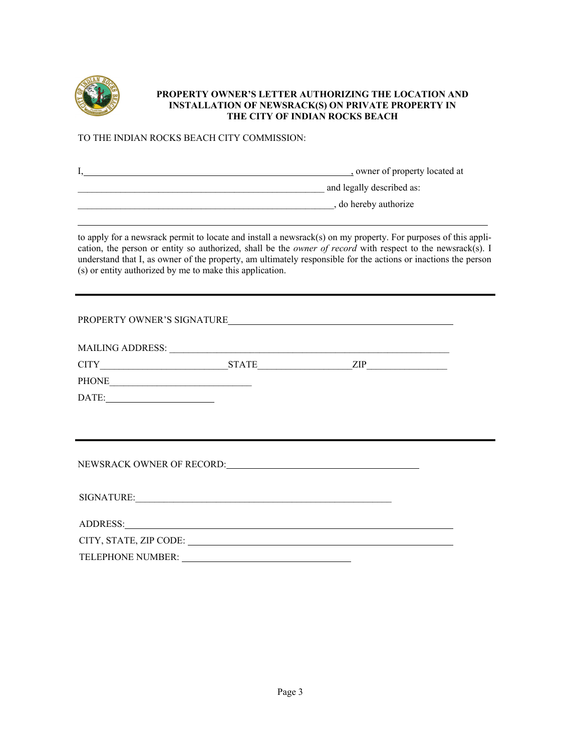

#### **PROPERTY OWNER'S LETTER AUTHORIZING THE LOCATION AND INSTALLATION OF NEWSRACK(S) ON PRIVATE PROPERTY IN THE CITY OF INDIAN ROCKS BEACH**

#### TO THE INDIAN ROCKS BEACH CITY COMMISSION:

| owner of property located at |
|------------------------------|
| and legally described as:    |
| , do hereby authorize        |
|                              |

to apply for a newsrack permit to locate and install a newsrack(s) on my property. For purposes of this application, the person or entity so authorized, shall be the *owner of record* with respect to the newsrack(s). I understand that I, as owner of the property, am ultimately responsible for the actions or inactions the person (s) or entity authorized by me to make this application.

PROPERTY OWNER'S SIGNATURE MAILING ADDRESS: \_\_\_\_\_\_\_\_\_\_\_\_\_\_\_\_\_\_\_\_\_\_\_\_\_\_\_\_\_\_\_\_\_\_\_\_\_\_\_\_\_\_\_\_\_\_\_\_\_\_\_\_\_\_\_\_\_\_\_ CITY\_\_\_\_\_\_\_\_\_\_\_\_\_\_\_\_\_\_\_\_\_\_\_\_\_\_\_STATE\_\_\_\_\_\_\_\_\_\_\_\_\_\_\_\_\_\_\_\_ZIP\_\_\_\_\_\_\_\_\_\_\_\_\_\_\_\_\_ PHONE\_\_\_\_\_\_\_\_\_\_\_\_\_\_\_\_\_\_\_\_\_\_\_\_\_\_\_\_\_\_ DATE: NEWSRACK OWNER OF RECORD: SIGNATURE:

ADDRESS: CITY, STATE, ZIP CODE:

TELEPHONE NUMBER: University of the state of the state of the state of the state of the state of the state of the state of the state of the state of the state of the state of the state of the state of the state of the stat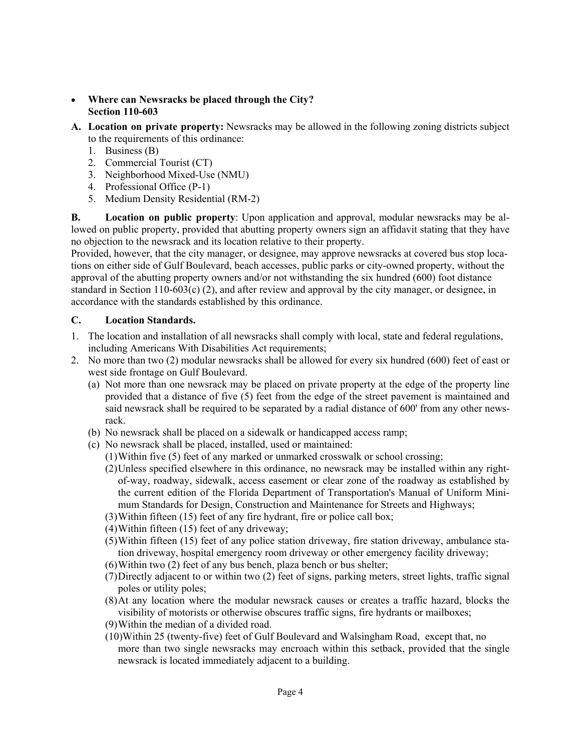- **Where can Newsracks be placed through the City? Section 110-603**
- **A. Location on private property:** Newsracks may be allowed in the following zoning districts subject to the requirements of this ordinance:
	- 1. Business (B)
	- 2. Commercial Tourist (CT)
	- 3. Neighborhood Mixed-Use (NMU)
	- 4. Professional Office (P-1)
	- 5. Medium Density Residential (RM-2)

**B. Location on public property**: Upon application and approval, modular newsracks may be allowed on public property, provided that abutting property owners sign an affidavit stating that they have no objection to the newsrack and its location relative to their property.

Provided, however, that the city manager, or designee, may approve newsracks at covered bus stop locations on either side of Gulf Boulevard, beach accesses, public parks or city-owned property, without the approval of the abutting property owners and/or not withstanding the six hundred (600) foot distance standard in Section 110-603(c) (2), and after review and approval by the city manager, or designee, in accordance with the standards established by this ordinance.

# **C. Location Standards.**

- 1. The location and installation of all newsracks shall comply with local, state and federal regulations, including Americans With Disabilities Act requirements;
- 2. No more than two (2) modular newsracks shall be allowed for every six hundred (600) feet of east or west side frontage on Gulf Boulevard.
	- (a) Not more than one newsrack may be placed on private property at the edge of the property line provided that a distance of five (5) feet from the edge of the street pavement is maintained and said newsrack shall be required to be separated by a radial distance of 600' from any other newsrack.
	- (b) No newsrack shall be placed on a sidewalk or handicapped access ramp;
	- (c) No newsrack shall be placed, installed, used or maintained:
		- (1) Within five (5) feet of any marked or unmarked crosswalk or school crossing;
		- (2) Unless specified elsewhere in this ordinance, no newsrack may be installed within any rightof-way, roadway, sidewalk, access easement or clear zone of the roadway as established by the current edition of the Florida Department of Transportation's Manual of Uniform Minimum Standards for Design, Construction and Maintenance for Streets and Highways;
		- (3) Within fifteen (15) feet of any fire hydrant, fire or police call box;
		- (4) Within fifteen (15) feet of any driveway;
		- (5) Within fifteen (15) feet of any police station driveway, fire station driveway, ambulance station driveway, hospital emergency room driveway or other emergency facility driveway;
		- (6) Within two (2) feet of any bus bench, plaza bench or bus shelter;
		- (7) Directly adjacent to or within two (2) feet of signs, parking meters, street lights, traffic signal poles or utility poles;
		- (8) At any location where the modular newsrack causes or creates a traffic hazard, blocks the visibility of motorists or otherwise obscures traffic signs, fire hydrants or mailboxes;
		- (9) Within the median of a divided road.
		- (10)Within 25 (twenty-five) feet of Gulf Boulevard and Walsingham Road, except that, no more than two single newsracks may encroach within this setback, provided that the single newsrack is located immediately adjacent to a building.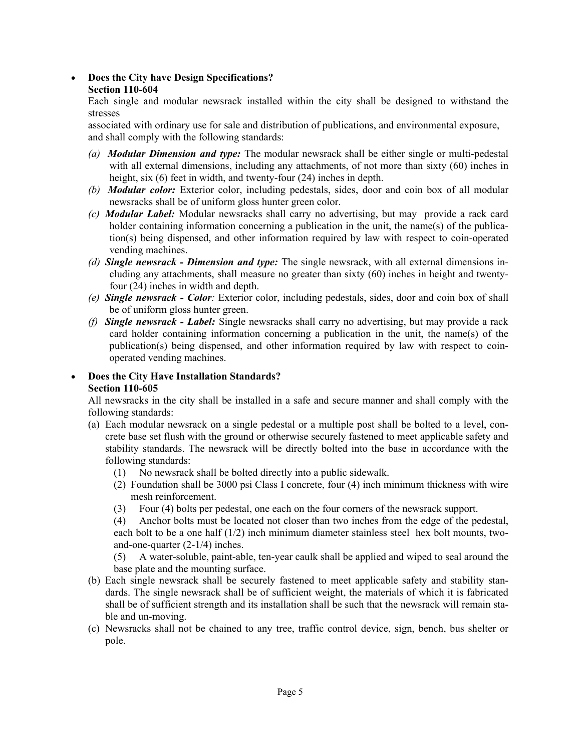## • **Does the City have Design Specifications? Section 110-604**

Each single and modular newsrack installed within the city shall be designed to withstand the stresses

associated with ordinary use for sale and distribution of publications, and environmental exposure, and shall comply with the following standards:

- *(a) Modular Dimension and type:* The modular newsrack shall be either single or multi-pedestal with all external dimensions, including any attachments, of not more than sixty (60) inches in height, six (6) feet in width, and twenty-four (24) inches in depth.
- *(b) Modular color:* Exterior color, including pedestals, sides, door and coin box of all modular newsracks shall be of uniform gloss hunter green color.
- *(c) Modular Label:* Modular newsracks shall carry no advertising, but may provide a rack card holder containing information concerning a publication in the unit, the name(s) of the publication(s) being dispensed, and other information required by law with respect to coin-operated vending machines.
- *(d) Single newsrack Dimension and type:* The single newsrack, with all external dimensions including any attachments, shall measure no greater than sixty (60) inches in height and twentyfour (24) inches in width and depth.
- *(e) Single newsrack Color:* Exterior color, including pedestals, sides, door and coin box of shall be of uniform gloss hunter green.
- *(f) Single newsrack Label:* Single newsracks shall carry no advertising, but may provide a rack card holder containing information concerning a publication in the unit, the name(s) of the publication(s) being dispensed, and other information required by law with respect to coinoperated vending machines.

# • **Does the City Have Installation Standards? Section 110-605**

All newsracks in the city shall be installed in a safe and secure manner and shall comply with the following standards:

- (a) Each modular newsrack on a single pedestal or a multiple post shall be bolted to a level, concrete base set flush with the ground or otherwise securely fastened to meet applicable safety and stability standards. The newsrack will be directly bolted into the base in accordance with the following standards:
	- (1) No newsrack shall be bolted directly into a public sidewalk.
	- (2) Foundation shall be 3000 psi Class I concrete, four (4) inch minimum thickness with wire mesh reinforcement.
	- (3) Four (4) bolts per pedestal, one each on the four corners of the newsrack support.
	- (4) Anchor bolts must be located not closer than two inches from the edge of the pedestal, each bolt to be a one half  $(1/2)$  inch minimum diameter stainless steel hex bolt mounts, twoand-one-quarter (2-1/4) inches.
	- (5) A water-soluble, paint-able, ten-year caulk shall be applied and wiped to seal around the base plate and the mounting surface.
- (b) Each single newsrack shall be securely fastened to meet applicable safety and stability standards. The single newsrack shall be of sufficient weight, the materials of which it is fabricated shall be of sufficient strength and its installation shall be such that the newsrack will remain stable and un-moving.
- (c) Newsracks shall not be chained to any tree, traffic control device, sign, bench, bus shelter or pole.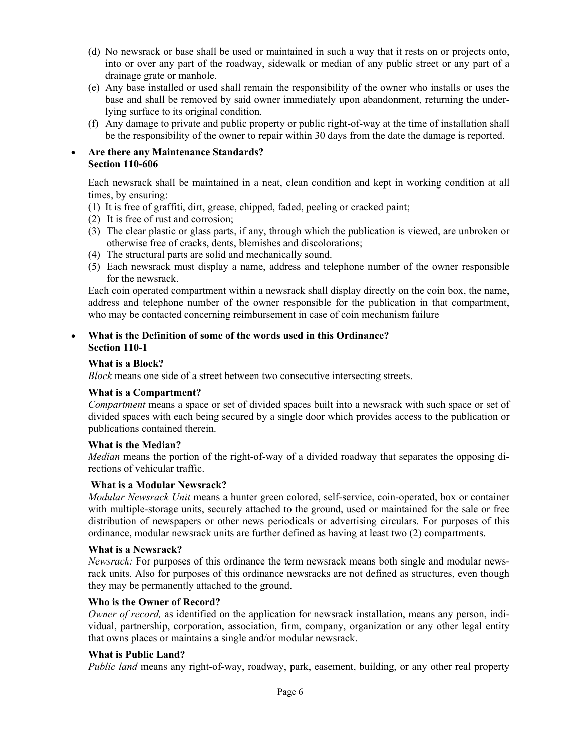- (d) No newsrack or base shall be used or maintained in such a way that it rests on or projects onto, into or over any part of the roadway, sidewalk or median of any public street or any part of a drainage grate or manhole.
- (e) Any base installed or used shall remain the responsibility of the owner who installs or uses the base and shall be removed by said owner immediately upon abandonment, returning the underlying surface to its original condition.
- (f) Any damage to private and public property or public right-of-way at the time of installation shall be the responsibility of the owner to repair within 30 days from the date the damage is reported.

#### • **Are there any Maintenance Standards? Section 110-606**

 Each newsrack shall be maintained in a neat, clean condition and kept in working condition at all times, by ensuring:

- (1) It is free of graffiti, dirt, grease, chipped, faded, peeling or cracked paint;
- (2) It is free of rust and corrosion;
- (3) The clear plastic or glass parts, if any, through which the publication is viewed, are unbroken or otherwise free of cracks, dents, blemishes and discolorations;
- (4) The structural parts are solid and mechanically sound.
- (5) Each newsrack must display a name, address and telephone number of the owner responsible for the newsrack.

Each coin operated compartment within a newsrack shall display directly on the coin box, the name, address and telephone number of the owner responsible for the publication in that compartment, who may be contacted concerning reimbursement in case of coin mechanism failure

#### • **What is the Definition of some of the words used in this Ordinance? Section 110-1**

#### **What is a Block?**

*Block* means one side of a street between two consecutive intersecting streets.

#### **What is a Compartment?**

*Compartment* means a space or set of divided spaces built into a newsrack with such space or set of divided spaces with each being secured by a single door which provides access to the publication or publications contained therein.

#### **What is the Median?**

*Median* means the portion of the right-of-way of a divided roadway that separates the opposing directions of vehicular traffic.

#### **What is a Modular Newsrack?**

*Modular Newsrack Unit* means a hunter green colored, self-service, coin-operated, box or container with multiple-storage units, securely attached to the ground, used or maintained for the sale or free distribution of newspapers or other news periodicals or advertising circulars. For purposes of this ordinance, modular newsrack units are further defined as having at least two (2) compartments.

#### **What is a Newsrack?**

*Newsrack:* For purposes of this ordinance the term newsrack means both single and modular newsrack units. Also for purposes of this ordinance newsracks are not defined as structures, even though they may be permanently attached to the ground.

#### **Who is the Owner of Record?**

*Owner of record,* as identified on the application for newsrack installation, means any person, individual, partnership, corporation, association, firm, company, organization or any other legal entity that owns places or maintains a single and/or modular newsrack.

#### **What is Public Land?**

*Public land* means any right-of-way, roadway, park, easement, building, or any other real property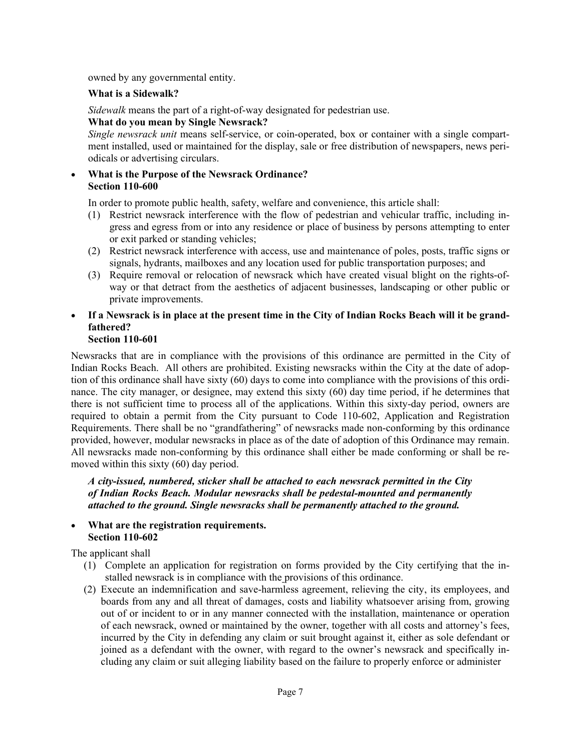owned by any governmental entity.

# **What is a Sidewalk?**

*Sidewalk* means the part of a right-of-way designated for pedestrian use.

# **What do you mean by Single Newsrack?**

*Single newsrack unit* means self-service, or coin-operated, box or container with a single compartment installed, used or maintained for the display, sale or free distribution of newspapers, news periodicals or advertising circulars.

## • **What is the Purpose of the Newsrack Ordinance? Section 110-600**

In order to promote public health, safety, welfare and convenience, this article shall:

- (1) Restrict newsrack interference with the flow of pedestrian and vehicular traffic, including ingress and egress from or into any residence or place of business by persons attempting to enter or exit parked or standing vehicles;
- (2) Restrict newsrack interference with access, use and maintenance of poles, posts, traffic signs or signals, hydrants, mailboxes and any location used for public transportation purposes; and
- (3) Require removal or relocation of newsrack which have created visual blight on the rights-ofway or that detract from the aesthetics of adjacent businesses, landscaping or other public or private improvements.
- **If a Newsrack is in place at the present time in the City of Indian Rocks Beach will it be grandfathered? Section 110-601**

Newsracks that are in compliance with the provisions of this ordinance are permitted in the City of Indian Rocks Beach. All others are prohibited. Existing newsracks within the City at the date of adoption of this ordinance shall have sixty (60) days to come into compliance with the provisions of this ordinance. The city manager, or designee, may extend this sixty (60) day time period, if he determines that there is not sufficient time to process all of the applications. Within this sixty-day period, owners are required to obtain a permit from the City pursuant to Code 110-602, Application and Registration Requirements. There shall be no "grandfathering" of newsracks made non-conforming by this ordinance provided, however, modular newsracks in place as of the date of adoption of this Ordinance may remain. All newsracks made non-conforming by this ordinance shall either be made conforming or shall be removed within this sixty (60) day period.

*A city-issued, numbered, sticker shall be attached to each newsrack permitted in the City of Indian Rocks Beach. Modular newsracks shall be pedestal-mounted and permanently attached to the ground. Single newsracks shall be permanently attached to the ground.* 

# • **What are the registration requirements. Section 110-602**

The applicant shall

- (1) Complete an application for registration on forms provided by the City certifying that the installed newsrack is in compliance with the provisions of this ordinance.
- (2) Execute an indemnification and save-harmless agreement, relieving the city, its employees, and boards from any and all threat of damages, costs and liability whatsoever arising from, growing out of or incident to or in any manner connected with the installation, maintenance or operation of each newsrack, owned or maintained by the owner, together with all costs and attorney's fees, incurred by the City in defending any claim or suit brought against it, either as sole defendant or joined as a defendant with the owner, with regard to the owner's newsrack and specifically including any claim or suit alleging liability based on the failure to properly enforce or administer